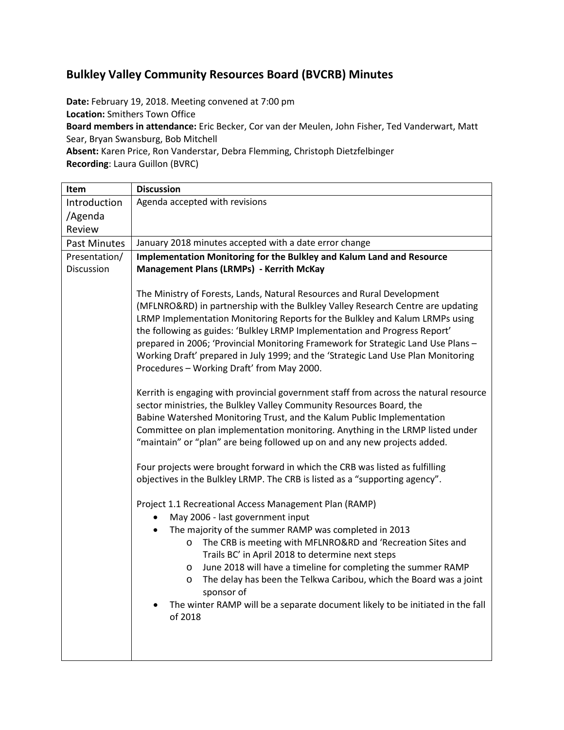## **Bulkley Valley Community Resources Board (BVCRB) Minutes**

**Date:** February 19, 2018. Meeting convened at 7:00 pm **Location:** Smithers Town Office **Board members in attendance:** Eric Becker, Cor van der Meulen, John Fisher, Ted Vanderwart, Matt Sear, Bryan Swansburg, Bob Mitchell **Absent:** Karen Price, Ron Vanderstar, Debra Flemming, Christoph Dietzfelbinger **Recording**: Laura Guillon (BVRC)

| Item                | <b>Discussion</b>                                                                                                                                                                                                                                                                                                                                                                                                                                                                                                                                                                                                                                                                                                                                                                                                                                                                                                                                                                                                                                                                                                                                                                                                                                                                                                                                                                                                                                                                                                                                                                                                                                                                                   |  |  |
|---------------------|-----------------------------------------------------------------------------------------------------------------------------------------------------------------------------------------------------------------------------------------------------------------------------------------------------------------------------------------------------------------------------------------------------------------------------------------------------------------------------------------------------------------------------------------------------------------------------------------------------------------------------------------------------------------------------------------------------------------------------------------------------------------------------------------------------------------------------------------------------------------------------------------------------------------------------------------------------------------------------------------------------------------------------------------------------------------------------------------------------------------------------------------------------------------------------------------------------------------------------------------------------------------------------------------------------------------------------------------------------------------------------------------------------------------------------------------------------------------------------------------------------------------------------------------------------------------------------------------------------------------------------------------------------------------------------------------------------|--|--|
| Introduction        | Agenda accepted with revisions                                                                                                                                                                                                                                                                                                                                                                                                                                                                                                                                                                                                                                                                                                                                                                                                                                                                                                                                                                                                                                                                                                                                                                                                                                                                                                                                                                                                                                                                                                                                                                                                                                                                      |  |  |
| /Agenda             |                                                                                                                                                                                                                                                                                                                                                                                                                                                                                                                                                                                                                                                                                                                                                                                                                                                                                                                                                                                                                                                                                                                                                                                                                                                                                                                                                                                                                                                                                                                                                                                                                                                                                                     |  |  |
| Review              |                                                                                                                                                                                                                                                                                                                                                                                                                                                                                                                                                                                                                                                                                                                                                                                                                                                                                                                                                                                                                                                                                                                                                                                                                                                                                                                                                                                                                                                                                                                                                                                                                                                                                                     |  |  |
| <b>Past Minutes</b> | January 2018 minutes accepted with a date error change                                                                                                                                                                                                                                                                                                                                                                                                                                                                                                                                                                                                                                                                                                                                                                                                                                                                                                                                                                                                                                                                                                                                                                                                                                                                                                                                                                                                                                                                                                                                                                                                                                              |  |  |
| Presentation/       | Implementation Monitoring for the Bulkley and Kalum Land and Resource                                                                                                                                                                                                                                                                                                                                                                                                                                                                                                                                                                                                                                                                                                                                                                                                                                                                                                                                                                                                                                                                                                                                                                                                                                                                                                                                                                                                                                                                                                                                                                                                                               |  |  |
| Discussion          | <b>Management Plans (LRMPs) - Kerrith McKay</b>                                                                                                                                                                                                                                                                                                                                                                                                                                                                                                                                                                                                                                                                                                                                                                                                                                                                                                                                                                                                                                                                                                                                                                                                                                                                                                                                                                                                                                                                                                                                                                                                                                                     |  |  |
|                     | The Ministry of Forests, Lands, Natural Resources and Rural Development<br>(MFLNRO&RD) in partnership with the Bulkley Valley Research Centre are updating<br>LRMP Implementation Monitoring Reports for the Bulkley and Kalum LRMPs using<br>the following as guides: 'Bulkley LRMP Implementation and Progress Report'<br>prepared in 2006; 'Provincial Monitoring Framework for Strategic Land Use Plans -<br>Working Draft' prepared in July 1999; and the 'Strategic Land Use Plan Monitoring<br>Procedures - Working Draft' from May 2000.<br>Kerrith is engaging with provincial government staff from across the natural resource<br>sector ministries, the Bulkley Valley Community Resources Board, the<br>Babine Watershed Monitoring Trust, and the Kalum Public Implementation<br>Committee on plan implementation monitoring. Anything in the LRMP listed under<br>"maintain" or "plan" are being followed up on and any new projects added.<br>Four projects were brought forward in which the CRB was listed as fulfilling<br>objectives in the Bulkley LRMP. The CRB is listed as a "supporting agency".<br>Project 1.1 Recreational Access Management Plan (RAMP)<br>May 2006 - last government input<br>The majority of the summer RAMP was completed in 2013<br>$\bullet$<br>The CRB is meeting with MFLNRO&RD and 'Recreation Sites and<br>$\circ$<br>Trails BC' in April 2018 to determine next steps<br>June 2018 will have a timeline for completing the summer RAMP<br>$\circ$<br>The delay has been the Telkwa Caribou, which the Board was a joint<br>$\circ$<br>sponsor of<br>The winter RAMP will be a separate document likely to be initiated in the fall<br>of 2018 |  |  |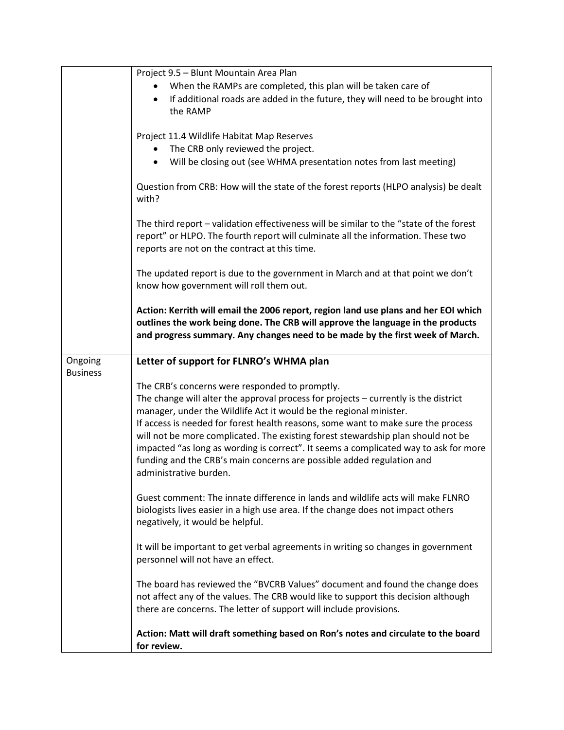|                 | Project 9.5 - Blunt Mountain Area Plan                                                                                                                                                                                                                  |
|-----------------|---------------------------------------------------------------------------------------------------------------------------------------------------------------------------------------------------------------------------------------------------------|
|                 | When the RAMPs are completed, this plan will be taken care of                                                                                                                                                                                           |
|                 | If additional roads are added in the future, they will need to be brought into<br>$\bullet$                                                                                                                                                             |
|                 |                                                                                                                                                                                                                                                         |
|                 | the RAMP                                                                                                                                                                                                                                                |
|                 |                                                                                                                                                                                                                                                         |
|                 | Project 11.4 Wildlife Habitat Map Reserves                                                                                                                                                                                                              |
|                 | The CRB only reviewed the project.                                                                                                                                                                                                                      |
|                 | Will be closing out (see WHMA presentation notes from last meeting)<br>$\bullet$                                                                                                                                                                        |
|                 | Question from CRB: How will the state of the forest reports (HLPO analysis) be dealt<br>with?                                                                                                                                                           |
|                 | The third report - validation effectiveness will be similar to the "state of the forest<br>report" or HLPO. The fourth report will culminate all the information. These two<br>reports are not on the contract at this time.                            |
|                 | The updated report is due to the government in March and at that point we don't<br>know how government will roll them out.                                                                                                                              |
|                 | Action: Kerrith will email the 2006 report, region land use plans and her EOI which<br>outlines the work being done. The CRB will approve the language in the products<br>and progress summary. Any changes need to be made by the first week of March. |
| Ongoing         | Letter of support for FLNRO's WHMA plan                                                                                                                                                                                                                 |
| <b>Business</b> |                                                                                                                                                                                                                                                         |
|                 | The CRB's concerns were responded to promptly.                                                                                                                                                                                                          |
|                 | The change will alter the approval process for projects - currently is the district                                                                                                                                                                     |
|                 | manager, under the Wildlife Act it would be the regional minister.                                                                                                                                                                                      |
|                 |                                                                                                                                                                                                                                                         |
|                 | If access is needed for forest health reasons, some want to make sure the process                                                                                                                                                                       |
|                 | will not be more complicated. The existing forest stewardship plan should not be                                                                                                                                                                        |
|                 |                                                                                                                                                                                                                                                         |
|                 | impacted "as long as wording is correct". It seems a complicated way to ask for more                                                                                                                                                                    |
|                 | funding and the CRB's main concerns are possible added regulation and                                                                                                                                                                                   |
|                 | administrative burden.                                                                                                                                                                                                                                  |
|                 |                                                                                                                                                                                                                                                         |
|                 | Guest comment: The innate difference in lands and wildlife acts will make FLNRO                                                                                                                                                                         |
|                 | biologists lives easier in a high use area. If the change does not impact others                                                                                                                                                                        |
|                 | negatively, it would be helpful.                                                                                                                                                                                                                        |
|                 |                                                                                                                                                                                                                                                         |
|                 | It will be important to get verbal agreements in writing so changes in government                                                                                                                                                                       |
|                 | personnel will not have an effect.                                                                                                                                                                                                                      |
|                 |                                                                                                                                                                                                                                                         |
|                 | The board has reviewed the "BVCRB Values" document and found the change does                                                                                                                                                                            |
|                 | not affect any of the values. The CRB would like to support this decision although                                                                                                                                                                      |
|                 | there are concerns. The letter of support will include provisions.                                                                                                                                                                                      |
|                 |                                                                                                                                                                                                                                                         |
|                 | Action: Matt will draft something based on Ron's notes and circulate to the board<br>for review.                                                                                                                                                        |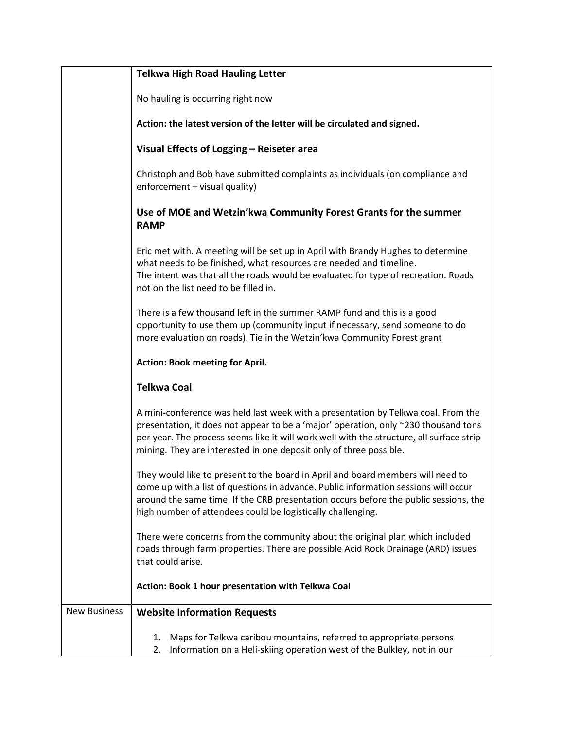|                     | <b>Telkwa High Road Hauling Letter</b>                                                                                                                                                                                                                                                                                                     |  |  |  |
|---------------------|--------------------------------------------------------------------------------------------------------------------------------------------------------------------------------------------------------------------------------------------------------------------------------------------------------------------------------------------|--|--|--|
|                     | No hauling is occurring right now                                                                                                                                                                                                                                                                                                          |  |  |  |
|                     | Action: the latest version of the letter will be circulated and signed.                                                                                                                                                                                                                                                                    |  |  |  |
|                     | Visual Effects of Logging - Reiseter area                                                                                                                                                                                                                                                                                                  |  |  |  |
|                     | Christoph and Bob have submitted complaints as individuals (on compliance and<br>enforcement - visual quality)                                                                                                                                                                                                                             |  |  |  |
|                     | Use of MOE and Wetzin'kwa Community Forest Grants for the summer<br><b>RAMP</b>                                                                                                                                                                                                                                                            |  |  |  |
|                     | Eric met with. A meeting will be set up in April with Brandy Hughes to determine<br>what needs to be finished, what resources are needed and timeline.<br>The intent was that all the roads would be evaluated for type of recreation. Roads<br>not on the list need to be filled in.                                                      |  |  |  |
|                     | There is a few thousand left in the summer RAMP fund and this is a good<br>opportunity to use them up (community input if necessary, send someone to do<br>more evaluation on roads). Tie in the Wetzin'kwa Community Forest grant                                                                                                         |  |  |  |
|                     | <b>Action: Book meeting for April.</b>                                                                                                                                                                                                                                                                                                     |  |  |  |
|                     | <b>Telkwa Coal</b>                                                                                                                                                                                                                                                                                                                         |  |  |  |
|                     | A mini-conference was held last week with a presentation by Telkwa coal. From the<br>presentation, it does not appear to be a 'major' operation, only ~230 thousand tons<br>per year. The process seems like it will work well with the structure, all surface strip<br>mining. They are interested in one deposit only of three possible. |  |  |  |
|                     | They would like to present to the board in April and board members will need to<br>come up with a list of questions in advance. Public information sessions will occur<br>around the same time. If the CRB presentation occurs before the public sessions, the<br>high number of attendees could be logistically challenging.              |  |  |  |
|                     | There were concerns from the community about the original plan which included<br>roads through farm properties. There are possible Acid Rock Drainage (ARD) issues<br>that could arise.                                                                                                                                                    |  |  |  |
|                     | Action: Book 1 hour presentation with Telkwa Coal                                                                                                                                                                                                                                                                                          |  |  |  |
| <b>New Business</b> | <b>Website Information Requests</b>                                                                                                                                                                                                                                                                                                        |  |  |  |
|                     | Maps for Telkwa caribou mountains, referred to appropriate persons<br>1.<br>Information on a Heli-skiing operation west of the Bulkley, not in our<br>2.                                                                                                                                                                                   |  |  |  |